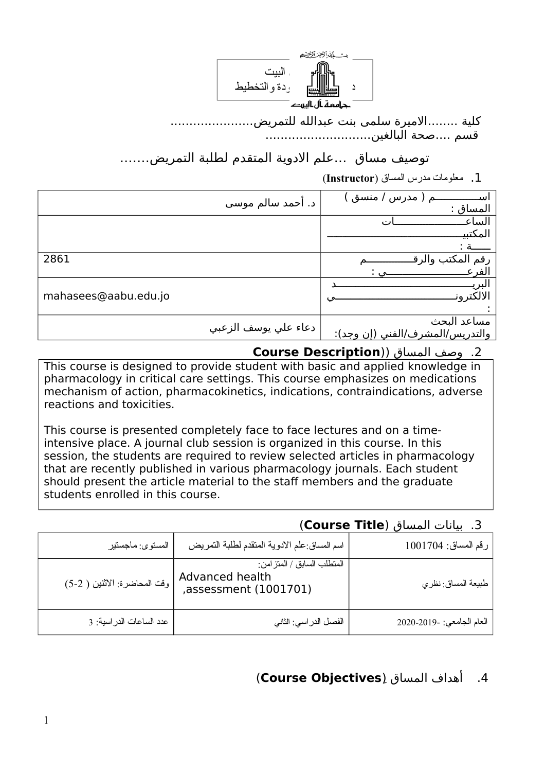

 كلية ........المايرة سلمى بنت عبدالله للتمريض...................... قسم ....صحة البالغين............................

# توصيف مساق …علم الادوية المتقدم لطلبة التمريض........

.1 معلومات مدرس المساق (**Instructor**(

|                      | د. أحمد سالم موسي    | / منسق<br>مدر س<br>المساق : |
|----------------------|----------------------|-----------------------------|
|                      |                      | الساء                       |
|                      |                      | المكتبي                     |
|                      |                      |                             |
| 2861                 |                      | ر قم                        |
|                      |                      |                             |
|                      |                      |                             |
| mahasees@aabu.edu.jo |                      |                             |
|                      |                      |                             |
|                      | دعاء علي يوسف الزعبي | مساعد البحث                 |
|                      |                      | اس /المشر ف /ا<br>ن وجد):   |
|                      |                      |                             |

.2 وصف المساق ((**Description Course**

This course is designed to provide student with basic and applied knowledge in pharmacology in critical care settings. This course emphasizes on medications mechanism of action, pharmacokinetics, indications, contraindications, adverse reactions and toxicities.

This course is presented completely face to face lectures and on a timeintensive place. A journal club session is organized in this course. In this session, the students are required to review selected articles in pharmacology that are recently published in various pharmacology journals. Each student should present the article material to the staff members and the graduate students enrolled in this course.

## .3 بيانات المساق (**Title Course**(

| رقم المساق: 1001704       | اسم المساق علم الادوية المتقدم لطلبة التمريض                             | المستوى ماجستير              |
|---------------------------|--------------------------------------------------------------------------|------------------------------|
| طبيعة المساق نظري         | المتطلب السابق / المتز امن :<br>Advanced health<br>,assessment (1001701) | وقت المحاضرة: الاثنين ( 2-5) |
| العام الجامعي: -2020-2020 | الفصل الدر اسي: الثاني                                                   | عدد الساعات الدراسية: 3      |

## .4 أهداف المساق ((**Objectives Course**(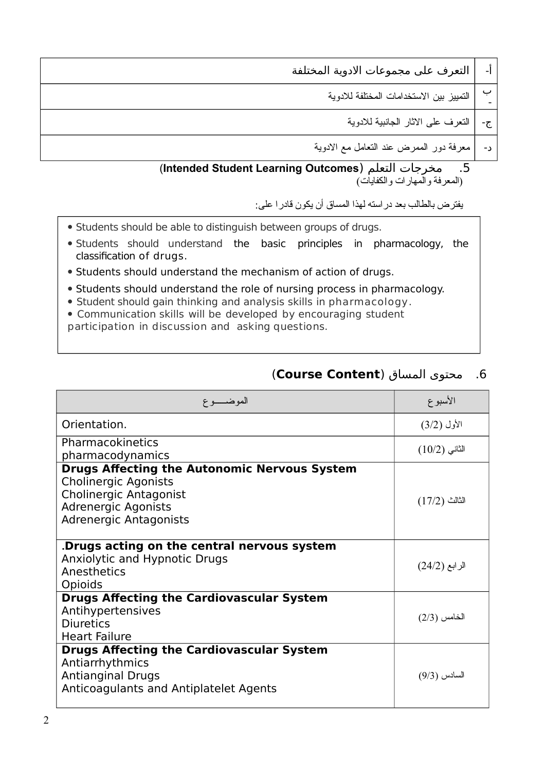| -। | التعرف على مجموعات الادوية المختلفة          |
|----|----------------------------------------------|
|    | ب   التمييز بين الاستخدامات المختلفة للادوية |
|    | ج-   النعرف على الاثار الجانبية للادوية      |
|    | د-   معرفة دور الممرض عند النعامل مع الادوية |
|    |                                              |

#### (**Intended Student Learning Outcomes**) التعلم ماخرجات .5 (المعرفة والمهارات والكفايات)

يفتر ض بالطالب بعد در استه لهذا المساق أن يكون قادر ا على:

- Students should be able to distinguish between groups of drugs.
- Students should understand the basic principles in pharmacology, the classification of drugs.
- Students should understand the mechanism of action of drugs.
- Students should understand the role of nursing process in pharmacology.
- Student should gain thinking and analysis skills in pharmacology.
- Communication skills will be developed by encouraging student
- participation in discussion and asking questions.

## .6 ماحتوى المساق (**Content Course**(

| الموضـــــوع                                                                                                                                                                | الأسبوع         |
|-----------------------------------------------------------------------------------------------------------------------------------------------------------------------------|-----------------|
| Orientation.                                                                                                                                                                | الأول (3/2)     |
| Pharmacokinetics<br>pharmacodynamics                                                                                                                                        | $(10/2)$ الثانی |
| <b>Drugs Affecting the Autonomic Nervous System</b><br><b>Cholinergic Agonists</b><br><b>Cholinergic Antagonist</b><br><b>Adrenergic Agonists</b><br>Adrenergic Antagonists | $(17/2)$ الثالث |
| Drugs acting on the central nervous system.<br>Anxiolytic and Hypnotic Drugs<br>Anesthetics<br>Opioids                                                                      | الرابع (24/2)   |
| <b>Drugs Affecting the Cardiovascular System</b><br>Antihypertensives<br><b>Diuretics</b><br><b>Heart Failure</b>                                                           | $(2/3)$ الخامس  |
| <b>Drugs Affecting the Cardiovascular System</b><br>Antiarrhythmics<br><b>Antianginal Drugs</b><br>Anticoagulants and Antiplatelet Agents                                   | السادس (9/3)    |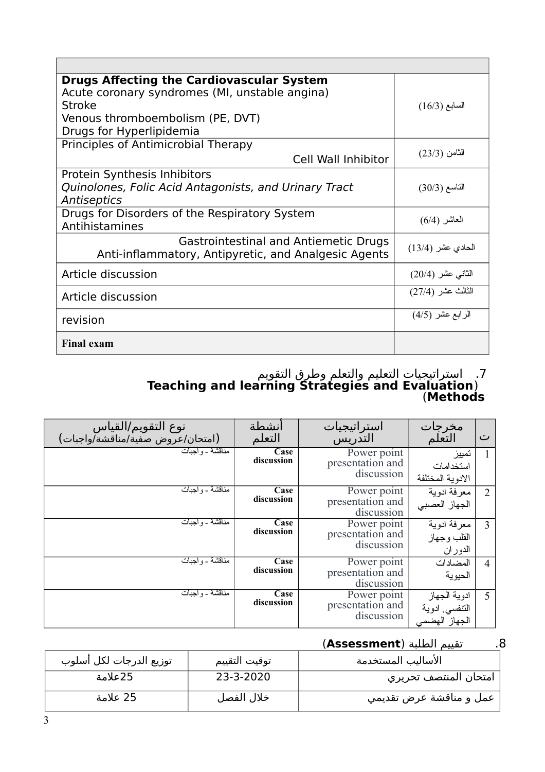| <b>Drugs Affecting the Cardiovascular System</b><br>Acute coronary syndromes (MI, unstable angina)<br><b>Stroke</b><br>Venous thromboembolism (PE, DVT)<br>Drugs for Hyperlipidemia | $(16/3)$ السابع   |
|-------------------------------------------------------------------------------------------------------------------------------------------------------------------------------------|-------------------|
| Principles of Antimicrobial Therapy<br>Cell Wall Inhibitor                                                                                                                          | الثامن (23/3)     |
| Protein Synthesis Inhibitors<br>Quinolones, Folic Acid Antagonists, and Urinary Tract<br>Antiseptics                                                                                | التاسع (30/3)     |
| Drugs for Disorders of the Respiratory System<br>Antihistamines                                                                                                                     | العاشر (6/4)      |
| Gastrointestinal and Antiemetic Drugs<br>Anti-inflammatory, Antipyretic, and Analgesic Agents                                                                                       | الحادي عشر (13/4) |
| Article discussion                                                                                                                                                                  | الثاني عشر (20/4) |
| Article discussion                                                                                                                                                                  | الثالث عشر (27/4) |
| revision                                                                                                                                                                            | الرابع عشر (4/5)  |
| <b>Final exam</b>                                                                                                                                                                   |                   |

#### .7 استراتيجيات التعليم والتعلم وطرق التقويم **Teaching and learning Strategies and Evaluation**) (**Methods**

| نوع التقويم/القياس<br>(امتحان/عروض صفية/مناقشة/واجبات) | انشطة<br>التعلم    | استراتيجيات<br>التذريس                        | مخرجات<br>التعلم                               | ت              |
|--------------------------------------------------------|--------------------|-----------------------------------------------|------------------------------------------------|----------------|
| <u> مناقشة - و اجبات</u>                               | Case<br>discussion | Power point<br>presentation and<br>discussion | تمييز<br>استخدامات<br>الادوبة المختلفة         |                |
| مناقشة - و احدات                                       | Case<br>discussion | Power point<br>presentation and<br>discussion | معرفة ادوية<br>الجهاز العصبي                   | $\overline{2}$ |
| مناقشة - واجبات                                        | Case<br>discussion | Power point<br>presentation and<br>discussion | معرفة ادوية<br>القلب وجهاز<br>الدوران          | 3              |
| مناقشة ـ و احدات                                       | Case<br>discussion | Power point<br>presentation and<br>discussion | المضادات<br>الحيوية                            | 4              |
| <del>مناقشة - واج</del> بات                            | Case<br>discussion | Power point<br>presentation and<br>discussion | ادوية الجهاز<br>النتفسى ادوية<br>الجهاز الهضمى | 5              |

### .8 تقييم الطلبة (**Assessment**(

| توزيع الدرجات لكل أسلوب | توقيت التقييم | الأساليب المستخدمة      |
|-------------------------|---------------|-------------------------|
| 25علامة                 | 23-3-2020     | ٍ امتحان المنتصف تحريري |
| 25 علامة                | خلال الفصل    | عمل و مناقشة عرض تقديمي |